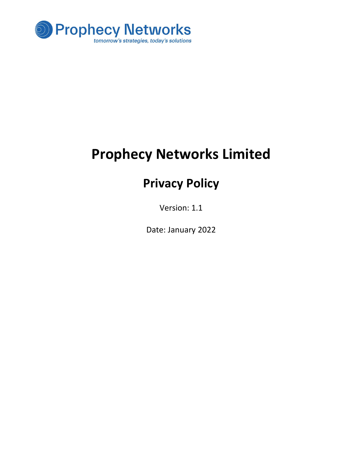

# Prophecy Networks Limited

## Privacy Policy

Version: 1.1

Date: January 2022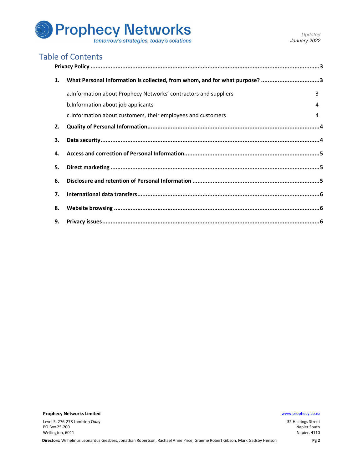

| 1. | What Personal Information is collected, from whom, and for what purpose? 3 |  |
|----|----------------------------------------------------------------------------|--|
|    | a. Information about Prophecy Networks' contractors and suppliers<br>3     |  |
|    | b. Information about job applicants                                        |  |
|    | c. Information about customers, their employees and customers<br>4         |  |
| 2. |                                                                            |  |
| 3. |                                                                            |  |
| 4. |                                                                            |  |
| 5. |                                                                            |  |
| 6. |                                                                            |  |
| 7. |                                                                            |  |
| 8. |                                                                            |  |
|    |                                                                            |  |

**Prophecy Networks Limited With the Community of the Community Community Community Community Community Community Community Community Community Community Community Community Community Community Community Community Community** 

Level 5, 276-278 Lambton Quay PO Box 25-200 Wellington, 6011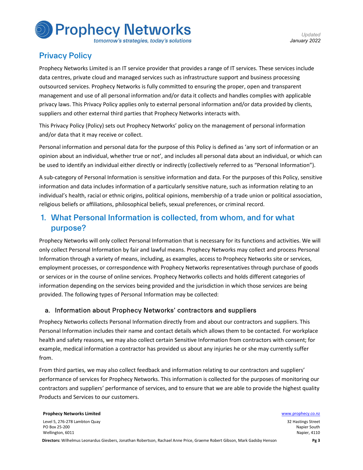# **Prophecy Networks**

tomorrow's strategies, today's solutions

### Privacy Policy

Prophecy Networks Limited is an IT service provider that provides a range of IT services. These services include data centres, private cloud and managed services such as infrastructure support and business processing outsourced services. Prophecy Networks is fully committed to ensuring the proper, open and transparent management and use of all personal information and/or data it collects and handles complies with applicable privacy laws. This Privacy Policy applies only to external personal information and/or data provided by clients, suppliers and other external third parties that Prophecy Networks interacts with.

This Privacy Policy (Policy) sets out Prophecy Networks' policy on the management of personal information and/or data that it may receive or collect.

Personal information and personal data for the purpose of this Policy is defined as 'any sort of information or an opinion about an individual, whether true or not', and includes all personal data about an individual, or which can be used to identify an individual either directly or indirectly (collectively referred to as "Personal Information").

A sub-category of Personal Information is sensitive information and data. For the purposes of this Policy, sensitive information and data includes information of a particularly sensitive nature, such as information relating to an individual's health, racial or ethnic origins, political opinions, membership of a trade union or political association, religious beliefs or affiliations, philosophical beliefs, sexual preferences, or criminal record.

### 1. What Personal Information is collected, from whom, and for what purpose?

Prophecy Networks will only collect Personal Information that is necessary for its functions and activities. We will only collect Personal Information by fair and lawful means. Prophecy Networks may collect and process Personal Information through a variety of means, including, as examples, access to Prophecy Networks site or services, employment processes, or correspondence with Prophecy Networks representatives through purchase of goods or services or in the course of online services. Prophecy Networks collects and holds different categories of information depending on the services being provided and the jurisdiction in which those services are being provided. The following types of Personal Information may be collected:

#### a. Information about Prophecy Networks' contractors and suppliers

Prophecy Networks collects Personal Information directly from and about our contractors and suppliers. This Personal Information includes their name and contact details which allows them to be contacted. For workplace health and safety reasons, we may also collect certain Sensitive Information from contractors with consent; for example, medical information a contractor has provided us about any injuries he or she may currently suffer from.

From third parties, we may also collect feedback and information relating to our contractors and suppliers' performance of services for Prophecy Networks. This information is collected for the purposes of monitoring our contractors and suppliers' performance of services, and to ensure that we are able to provide the highest quality Products and Services to our customers.

**Prophecy Networks Limited With Channels and Channels and Channels and Channels and Channels and Channels and Channels and Channels and Channels and Channels and Channels and Channels and Channels and Channels and Channels** Level 5, 276-278 Lambton Quay PO Box 25-200 Wellington, 6011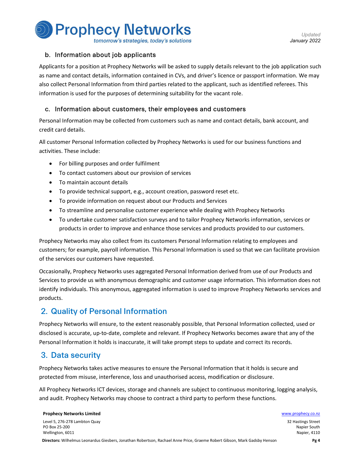

tomorrow's strategies, today's solutions

#### b. Information about job applicants

Applicants for a position at Prophecy Networks will be asked to supply details relevant to the job application such as name and contact details, information contained in CVs, and driver's licence or passport information. We may also collect Personal Information from third parties related to the applicant, such as identified referees. This information is used for the purposes of determining suitability for the vacant role.

#### c. Information about customers, their employees and customers

Personal Information may be collected from customers such as name and contact details, bank account, and credit card details.

All customer Personal Information collected by Prophecy Networks is used for our business functions and activities. These include:

- For billing purposes and order fulfilment
- To contact customers about our provision of services
- To maintain account details
- To provide technical support, e.g., account creation, password reset etc.
- To provide information on request about our Products and Services
- To streamline and personalise customer experience while dealing with Prophecy Networks
- To undertake customer satisfaction surveys and to tailor Prophecy Networks information, services or products in order to improve and enhance those services and products provided to our customers.

Prophecy Networks may also collect from its customers Personal Information relating to employees and customers; for example, payroll information. This Personal Information is used so that we can facilitate provision of the services our customers have requested.

Occasionally, Prophecy Networks uses aggregated Personal Information derived from use of our Products and Services to provide us with anonymous demographic and customer usage information. This information does not identify individuals. This anonymous, aggregated information is used to improve Prophecy Networks services and products.

#### 2. Quality of Personal Information

Prophecy Networks will ensure, to the extent reasonably possible, that Personal Information collected, used or disclosed is accurate, up-to-date, complete and relevant. If Prophecy Networks becomes aware that any of the Personal Information it holds is inaccurate, it will take prompt steps to update and correct its records.

### 3. Data security

Prophecy Networks takes active measures to ensure the Personal Information that it holds is secure and protected from misuse, interference, loss and unauthorised access, modification or disclosure.

All Prophecy Networks ICT devices, storage and channels are subject to continuous monitoring, logging analysis, and audit. Prophecy Networks may choose to contract a third party to perform these functions.

**Prophecy Networks Limited Water School School School School School School School School School School School School School School School School School School School School School School School School School School School** Level 5, 276-278 Lambton Quay PO Box 25-200 Wellington, 6011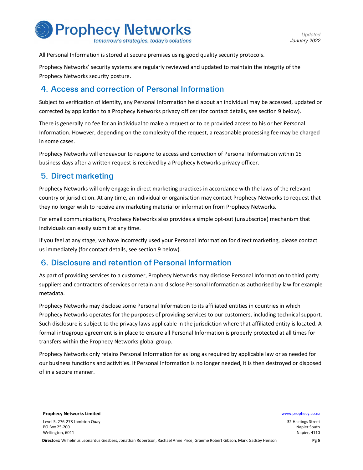

All Personal Information is stored at secure premises using good quality security protocols.

Prophecy Networks' security systems are regularly reviewed and updated to maintain the integrity of the Prophecy Networks security posture.

#### 4. Access and correction of Personal Information

Subject to verification of identity, any Personal Information held about an individual may be accessed, updated or corrected by application to a Prophecy Networks privacy officer (for contact details, see section 9 below).

There is generally no fee for an individual to make a request or to be provided access to his or her Personal Information. However, depending on the complexity of the request, a reasonable processing fee may be charged in some cases.

Prophecy Networks will endeavour to respond to access and correction of Personal Information within 15 business days after a written request is received by a Prophecy Networks privacy officer.

#### 5. Direct marketing

Prophecy Networks will only engage in direct marketing practices in accordance with the laws of the relevant country or jurisdiction. At any time, an individual or organisation may contact Prophecy Networks to request that they no longer wish to receive any marketing material or information from Prophecy Networks.

For email communications, Prophecy Networks also provides a simple opt-out (unsubscribe) mechanism that individuals can easily submit at any time.

If you feel at any stage, we have incorrectly used your Personal Information for direct marketing, please contact us immediately (for contact details, see section 9 below).

#### 6. Disclosure and retention of Personal Information

As part of providing services to a customer, Prophecy Networks may disclose Personal Information to third party suppliers and contractors of services or retain and disclose Personal Information as authorised by law for example metadata.

Prophecy Networks may disclose some Personal Information to its affiliated entities in countries in which Prophecy Networks operates for the purposes of providing services to our customers, including technical support. Such disclosure is subject to the privacy laws applicable in the jurisdiction where that affiliated entity is located. A formal intragroup agreement is in place to ensure all Personal Information is properly protected at all times for transfers within the Prophecy Networks global group.

Prophecy Networks only retains Personal Information for as long as required by applicable law or as needed for our business functions and activities. If Personal Information is no longer needed, it is then destroyed or disposed of in a secure manner.

Level 5, 276-278 Lambton Quay PO Box 25-200 Wellington, 6011

**Prophecy Networks Limited Water School School School School School School School School School School School School School School School School School School School School School School School School School School School**